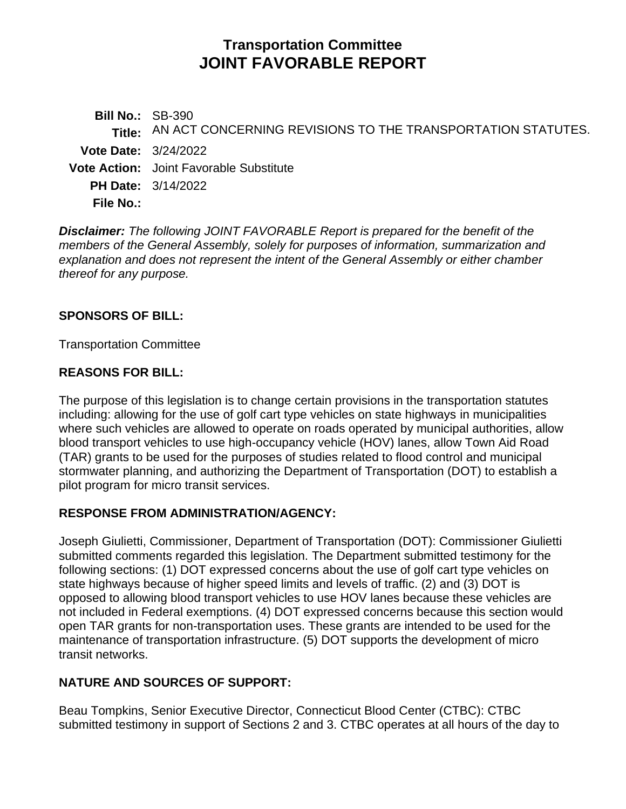# **Transportation Committee JOINT FAVORABLE REPORT**

**Bill No.:** SB-390 **Title:** AN ACT CONCERNING REVISIONS TO THE TRANSPORTATION STATUTES. **Vote Date:** 3/24/2022 **Vote Action:** Joint Favorable Substitute **PH Date:** 3/14/2022 **File No.:**

*Disclaimer: The following JOINT FAVORABLE Report is prepared for the benefit of the members of the General Assembly, solely for purposes of information, summarization and explanation and does not represent the intent of the General Assembly or either chamber thereof for any purpose.*

## **SPONSORS OF BILL:**

Transportation Committee

#### **REASONS FOR BILL:**

The purpose of this legislation is to change certain provisions in the transportation statutes including: allowing for the use of golf cart type vehicles on state highways in municipalities where such vehicles are allowed to operate on roads operated by municipal authorities, allow blood transport vehicles to use high-occupancy vehicle (HOV) lanes, allow Town Aid Road (TAR) grants to be used for the purposes of studies related to flood control and municipal stormwater planning, and authorizing the Department of Transportation (DOT) to establish a pilot program for micro transit services.

## **RESPONSE FROM ADMINISTRATION/AGENCY:**

Joseph Giulietti, Commissioner, Department of Transportation (DOT): Commissioner Giulietti submitted comments regarded this legislation. The Department submitted testimony for the following sections: (1) DOT expressed concerns about the use of golf cart type vehicles on state highways because of higher speed limits and levels of traffic. (2) and (3) DOT is opposed to allowing blood transport vehicles to use HOV lanes because these vehicles are not included in Federal exemptions. (4) DOT expressed concerns because this section would open TAR grants for non-transportation uses. These grants are intended to be used for the maintenance of transportation infrastructure. (5) DOT supports the development of micro transit networks.

## **NATURE AND SOURCES OF SUPPORT:**

Beau Tompkins, Senior Executive Director, Connecticut Blood Center (CTBC): CTBC submitted testimony in support of Sections 2 and 3. CTBC operates at all hours of the day to